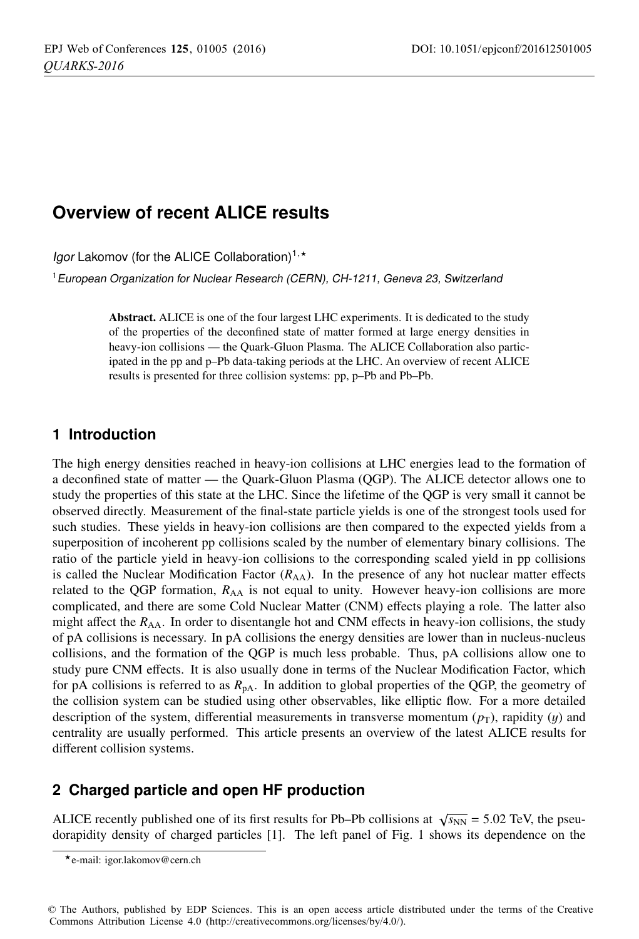# **Overview of recent ALICE results**

Igor Lakomov (for the ALICE Collaboration)<sup>1,\*</sup>

<sup>1</sup>European Organization for Nuclear Research (CERN), CH-1211, Geneva 23, Switzerland

Abstract. ALICE is one of the four largest LHC experiments. It is dedicated to the study of the properties of the deconfined state of matter formed at large energy densities in heavy-ion collisions — the Quark-Gluon Plasma. The ALICE Collaboration also participated in the pp and p–Pb data-taking periods at the LHC. An overview of recent ALICE results is presented for three collision systems: pp, p–Pb and Pb–Pb.

# **1 Introduction**

The high energy densities reached in heavy-ion collisions at LHC energies lead to the formation of a deconfined state of matter — the Quark-Gluon Plasma (QGP). The ALICE detector allows one to study the properties of this state at the LHC. Since the lifetime of the QGP is very small it cannot be observed directly. Measurement of the final-state particle yields is one of the strongest tools used for such studies. These yields in heavy-ion collisions are then compared to the expected yields from a superposition of incoherent pp collisions scaled by the number of elementary binary collisions. The ratio of the particle yield in heavy-ion collisions to the corresponding scaled yield in pp collisions is called the Nuclear Modification Factor  $(R_{AA})$ . In the presence of any hot nuclear matter effects related to the QGP formation,  $R_{AA}$  is not equal to unity. However heavy-ion collisions are more complicated, and there are some Cold Nuclear Matter (CNM) effects playing a role. The latter also might affect the  $R_{AA}$ . In order to disentangle hot and CNM effects in heavy-ion collisions, the study of pA collisions is necessary. In pA collisions the energy densities are lower than in nucleus-nucleus collisions, and the formation of the QGP is much less probable. Thus, pA collisions allow one to study pure CNM effects. It is also usually done in terms of the Nuclear Modification Factor, which for pA collisions is referred to as  $R_{pA}$ . In addition to global properties of the QGP, the geometry of the collision system can be studied using other observables, like elliptic flow. For a more detailed description of the system, differential measurements in transverse momentum  $(p_T)$ , rapidity  $(y)$  and centrality are usually performed. This article presents an overview of the latest ALICE results for different collision systems.

## **2 Charged particle and open HF production**

ALICE recently published one of its first results for Pb–Pb collisions at  $\sqrt{s_{NN}} = 5.02$  TeV, the pseudorapidity density of charged particles [1]. The left panel of Fig. 1 shows its dependence on the

© The Authors, published by EDP Sciences. This is an open access article distributed under the terms of the Creative Commons Attribution License 4.0 (http://creativecommons.org/licenses/by/4.0/).

<sup>-</sup>e-mail: igor.lakomov@cern.ch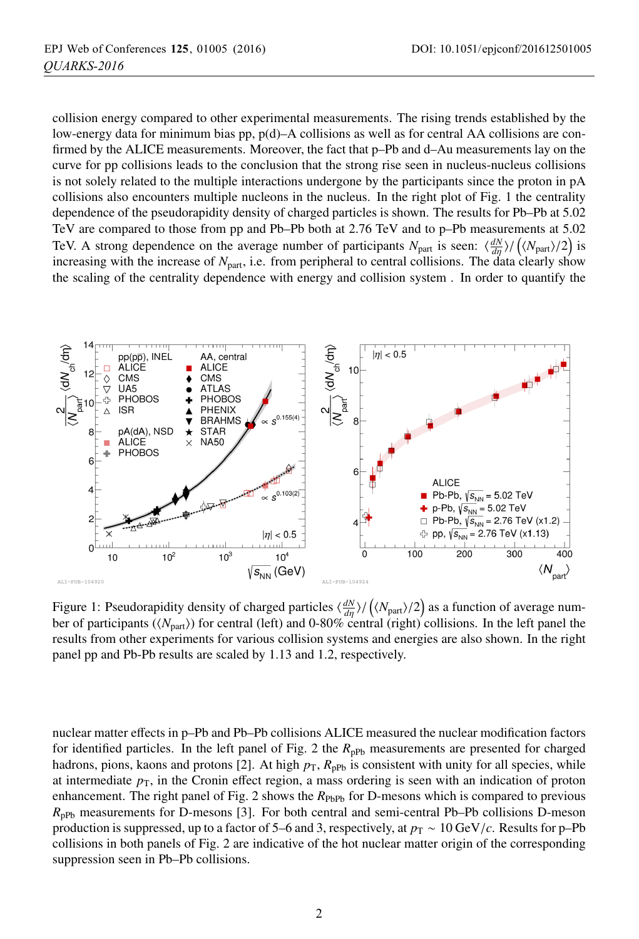collision energy compared to other experimental measurements. The rising trends established by the low-energy data for minimum bias pp, p(d)–A collisions as well as for central AA collisions are confirmed by the ALICE measurements. Moreover, the fact that p–Pb and d–Au measurements lay on the curve for pp collisions leads to the conclusion that the strong rise seen in nucleus-nucleus collisions is not solely related to the multiple interactions undergone by the participants since the proton in pA collisions also encounters multiple nucleons in the nucleus. In the right plot of Fig. 1 the centrality dependence of the pseudorapidity density of charged particles is shown. The results for Pb–Pb at 5.02 TeV are compared to those from pp and Pb–Pb both at 2.76 TeV and to p–Pb measurements at 5.02 TeV. A strong dependence on the average number of participants  $N_{\text{part}}$  is seen:  $\frac{dN}{d\eta}$  /  $\left(\frac{\langle N_{\text{part}}\rangle}{2}\right)$  is increasing with the increase of  $N<sub>part</sub>$ , i.e. from peripheral to central collisions. The data clearly show the scaling of the centrality dependence with energy and collision system . In order to quantify the



Figure 1: Pseudorapidity density of charged particles  $\langle \frac{dN}{d\eta} \rangle / (\langle N_{part} \rangle / 2)$  as a function of average number of participants (*N*part) for central (left) and 0-80% central (right) collisions. In the left panel the results from other experiments for various collision systems and energies are also shown. In the right panel pp and Pb-Pb results are scaled by 1.13 and 1.2, respectively.

nuclear matter effects in p–Pb and Pb–Pb collisions ALICE measured the nuclear modification factors for identified particles. In the left panel of Fig. 2 the  $R_{\text{pPb}}$  measurements are presented for charged hadrons, pions, kaons and protons [2]. At high  $p<sub>T</sub>$ ,  $R<sub>ppb</sub>$  is consistent with unity for all species, while at intermediate  $p<sub>T</sub>$ , in the Cronin effect region, a mass ordering is seen with an indication of proton enhancement. The right panel of Fig. 2 shows the  $R_{\text{PbPb}}$  for D-mesons which is compared to previous  $R_{\text{pPb}}$  measurements for D-mesons [3]. For both central and semi-central Pb–Pb collisions D-meson production is suppressed, up to a factor of 5–6 and 3, respectively, at  $p_T \sim 10 \,\text{GeV}/c$ . Results for p–Pb collisions in both panels of Fig. 2 are indicative of the hot nuclear matter origin of the corresponding suppression seen in Pb–Pb collisions.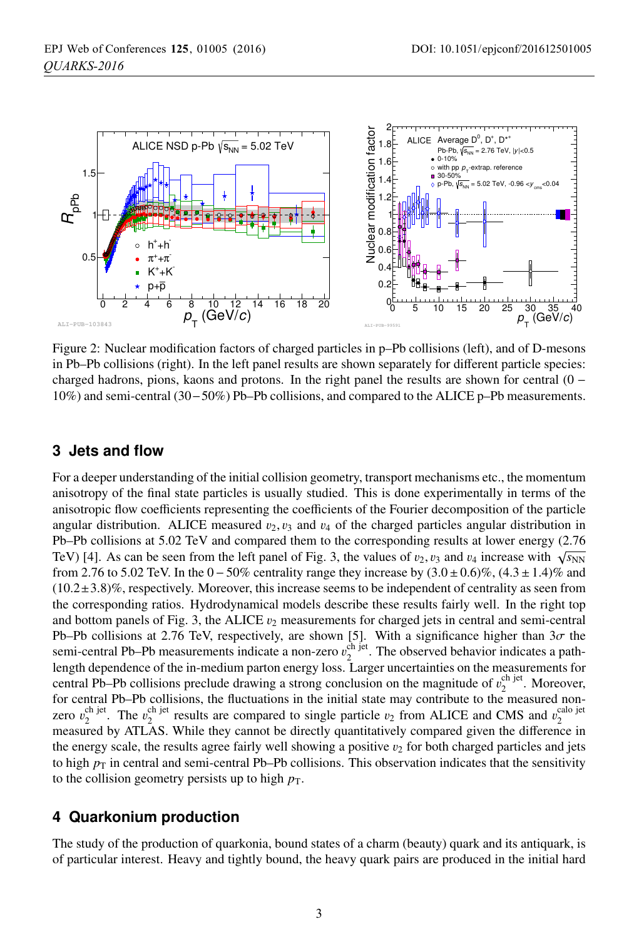

Figure 2: Nuclear modification factors of charged particles in p–Pb collisions (left), and of D-mesons in Pb–Pb collisions (right). In the left panel results are shown separately for different particle species: charged hadrons, pions, kaons and protons. In the right panel the results are shown for central  $(0 -$ 10%) and semi-central (30−50%) Pb–Pb collisions, and compared to the ALICE p–Pb measurements.

## **3 Jets and flow**

For a deeper understanding of the initial collision geometry, transport mechanisms etc., the momentum anisotropy of the final state particles is usually studied. This is done experimentally in terms of the anisotropic flow coefficients representing the coefficients of the Fourier decomposition of the particle angular distribution. ALICE measured  $v_2, v_3$  and  $v_4$  of the charged particles angular distribution in Pb–Pb collisions at 5.02 TeV and compared them to the corresponding results at lower energy (2.76 TeV) [4]. As can be seen from the left panel of Fig. 3, the values of  $v_2$ ,  $v_3$  and  $v_4$  increase with  $\sqrt{s_{NN}}$ from 2.76 to 5.02 TeV. In the  $0-50\%$  centrality range they increase by  $(3.0\pm0.6)\%$ ,  $(4.3\pm1.4)\%$  and  $(10.2\pm3.8)\%$ , respectively. Moreover, this increase seems to be independent of centrality as seen from the corresponding ratios. Hydrodynamical models describe these results fairly well. In the right top and bottom panels of Fig. 3, the ALICE  $v_2$  measurements for charged jets in central and semi-central Pb–Pb collisions at 2.76 TeV, respectively, are shown [5]. With a significance higher than  $3\sigma$  the semi-central Pb–Pb measurements indicate a non-zero  $v_2^{\text{ch jet}}$ . The observed behavior indicates a pathlength dependence of the in-medium parton energy loss. Larger uncertainties on the measurements for central Pb–Pb collisions preclude drawing a strong conclusion on the magnitude of  $v_2^{\text{ch}}$  iet. Moreover, for central Pb–Pb collisions, the fluctuations in the initial state may contribute to the measured nonzero  $v_2^{\text{ch jet}}$ . The  $v_2^{\text{ch jet}}$  results are compared to single particle  $v_2$  from ALICE and CMS and  $v_2^{\text{calo jet}}$ 2 measured by ATLAS. While they cannot be directly quantitatively compared given the difference in the energy scale, the results agree fairly well showing a positive  $v_2$  for both charged particles and jets to high  $p<sub>T</sub>$  in central and semi-central Pb–Pb collisions. This observation indicates that the sensitivity to the collision geometry persists up to high  $p<sub>T</sub>$ .

#### **4 Quarkonium production**

The study of the production of quarkonia, bound states of a charm (beauty) quark and its antiquark, is of particular interest. Heavy and tightly bound, the heavy quark pairs are produced in the initial hard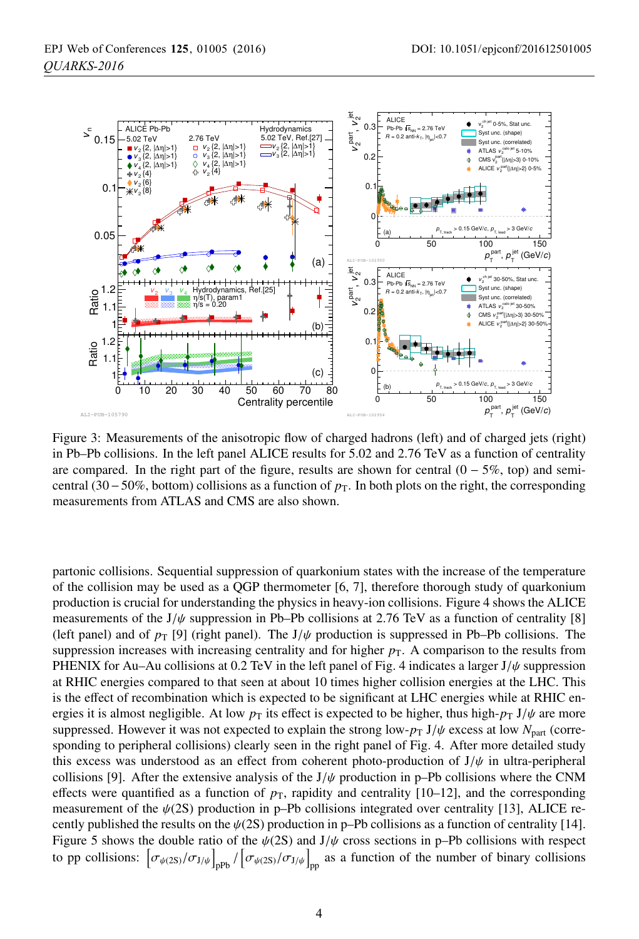

Figure 3: Measurements of the anisotropic flow of charged hadrons (left) and of charged jets (right) in Pb–Pb collisions. In the left panel ALICE results for 5.02 and 2.76 TeV as a function of centrality are compared. In the right part of the figure, results are shown for central  $(0 - 5\%$ , top) and semicentral (30−50%, bottom) collisions as a function of *<sup>p</sup>*T. In both plots on the right, the corresponding measurements from ATLAS and CMS are also shown.

partonic collisions. Sequential suppression of quarkonium states with the increase of the temperature of the collision may be used as a QGP thermometer [6, 7], therefore thorough study of quarkonium production is crucial for understanding the physics in heavy-ion collisions. Figure 4 shows the ALICE measurements of the  $J/\psi$  suppression in Pb–Pb collisions at 2.76 TeV as a function of centrality [8] (left panel) and of  $p_T$  [9] (right panel). The J/ $\psi$  production is suppressed in Pb–Pb collisions. The suppression increases with increasing centrality and for higher  $p<sub>T</sub>$ . A comparison to the results from PHENIX for Au–Au collisions at 0.2 TeV in the left panel of Fig. 4 indicates a larger  $J/\psi$  suppression at RHIC energies compared to that seen at about 10 times higher collision energies at the LHC. This is the effect of recombination which is expected to be significant at LHC energies while at RHIC energies it is almost negligible. At low  $p<sub>T</sub>$  its effect is expected to be higher, thus high- $p<sub>T</sub> J/\psi$  are more suppressed. However it was not expected to explain the strong low- $p_T J/\psi$  excess at low  $N_{part}$  (corresponding to peripheral collisions) clearly seen in the right panel of Fig. 4. After more detailed study this excess was understood as an effect from coherent photo-production of  $J/\psi$  in ultra-peripheral collisions [9]. After the extensive analysis of the  $J/\psi$  production in p–Pb collisions where the CNM effects were quantified as a function of  $p<sub>T</sub>$ , rapidity and centrality [10–12], and the corresponding measurement of the  $\psi(2S)$  production in p–Pb collisions integrated over centrality [13], ALICE recently published the results on the  $\psi(2S)$  production in p–Pb collisions as a function of centrality [14]. Figure 5 shows the double ratio of the  $\psi$ (2S) and J/ $\psi$  cross sections in p–Pb collisions with respect to pp collisions:  $\left[\sigma_{\psi(2S)}/\sigma_{J/\psi}\right]_{pp} / \left[\sigma_{\psi(2S)}/\sigma_{J/\psi}\right]_{pp}$  as a function of the number of binary collisions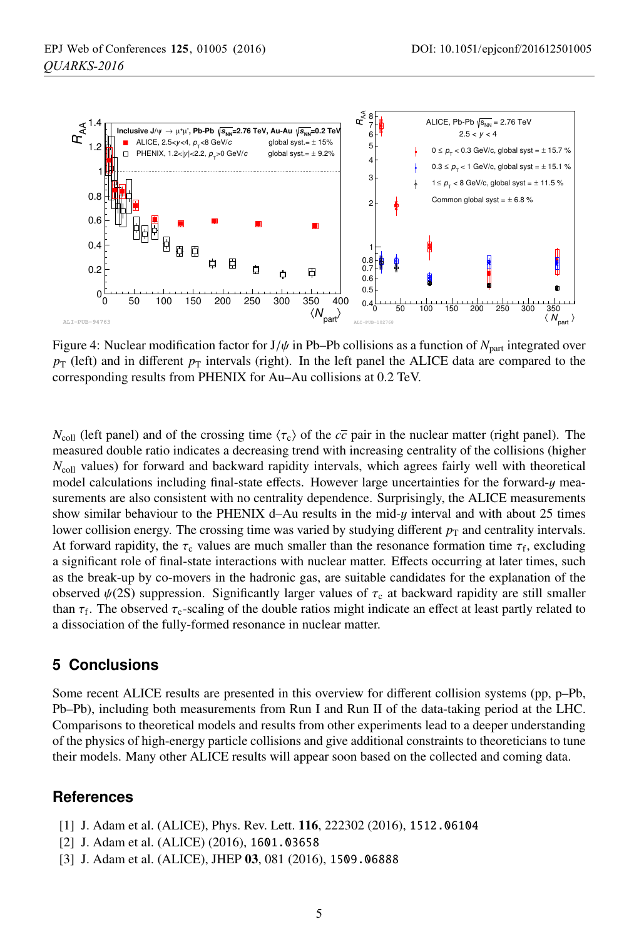

Figure 4: Nuclear modification factor for  $J/\psi$  in Pb–Pb collisions as a function of  $N_{part}$  integrated over  $p_T$  (left) and in different  $p_T$  intervals (right). In the left panel the ALICE data are compared to the corresponding results from PHENIX for Au–Au collisions at 0.2 TeV.

 $N_{\text{coll}}$  (left panel) and of the crossing time  $\langle \tau_c \rangle$  of the  $c\bar{c}$  pair in the nuclear matter (right panel). The measured double ratio indicates a decreasing trend with increasing centrality of the collisions (higher *N*<sub>coll</sub> values) for forward and backward rapidity intervals, which agrees fairly well with theoretical model calculations including final-state effects. However large uncertainties for the forward-y measurements are also consistent with no centrality dependence. Surprisingly, the ALICE measurements show similar behaviour to the PHENIX d–Au results in the mid-y interval and with about 25 times lower collision energy. The crossing time was varied by studying different  $p<sub>T</sub>$  and centrality intervals. At forward rapidity, the  $\tau_c$  values are much smaller than the resonance formation time  $\tau_f$ , excluding a significant role of final-state interactions with nuclear matter. Effects occurring at later times, such as the break-up by co-movers in the hadronic gas, are suitable candidates for the explanation of the observed  $\psi(2S)$  suppression. Significantly larger values of  $\tau_c$  at backward rapidity are still smaller than  $\tau_f$ . The observed  $\tau_c$ -scaling of the double ratios might indicate an effect at least partly related to a dissociation of the fully-formed resonance in nuclear matter.

#### **5 Conclusions**

Some recent ALICE results are presented in this overview for different collision systems (pp, p–Pb, Pb–Pb), including both measurements from Run I and Run II of the data-taking period at the LHC. Comparisons to theoretical models and results from other experiments lead to a deeper understanding of the physics of high-energy particle collisions and give additional constraints to theoreticians to tune their models. Many other ALICE results will appear soon based on the collected and coming data.

#### **References**

- [1] J. Adam et al. (ALICE), Phys. Rev. Lett. 116, 222302 (2016), 1512.06104
- [2] J. Adam et al. (ALICE) (2016), 1601.03658
- [3] J. Adam et al. (ALICE), JHEP 03, 081 (2016), 1509.06888